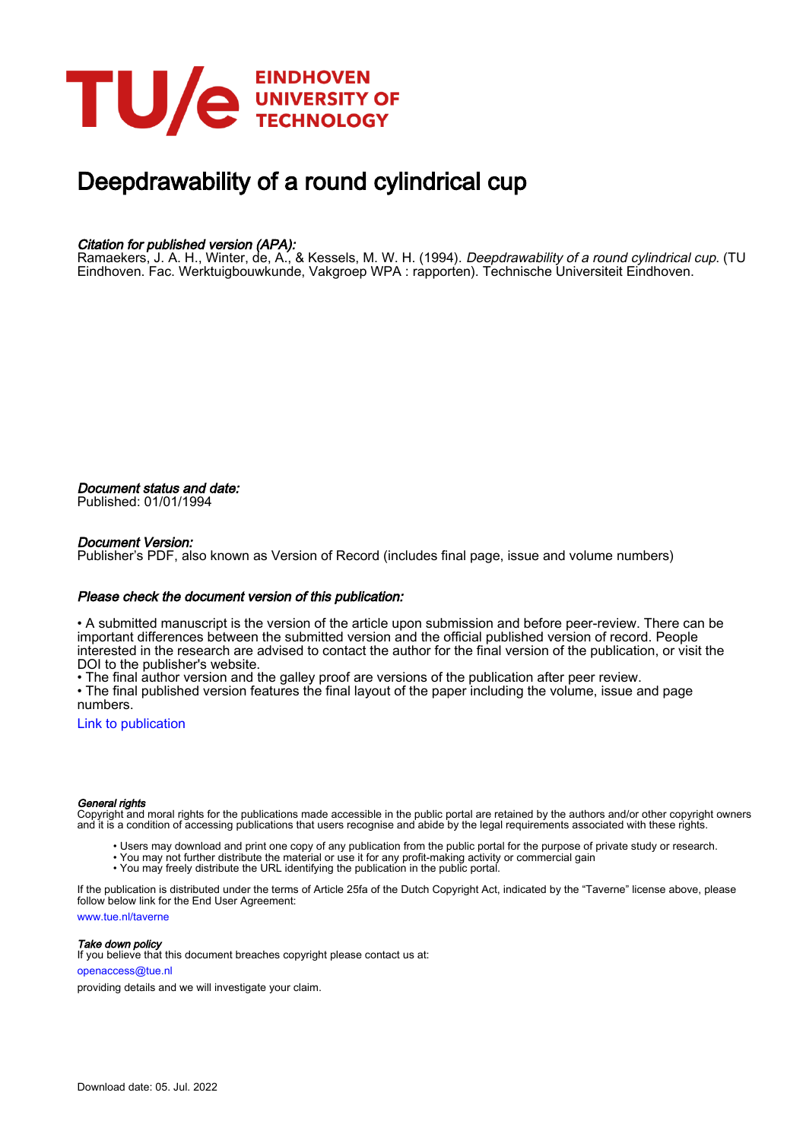

# Deepdrawability of a round cylindrical cup

### Citation for published version (APA):

Ramaekers, J. A. H., Winter, de, A., & Kessels, M. W. H. (1994). *Deepdrawability of a round cylindrical cup.* (TU Eindhoven. Fac. Werktuigbouwkunde, Vakgroep WPA : rapporten). Technische Universiteit Eindhoven.

Document status and date: Published: 01/01/1994

#### Document Version:

Publisher's PDF, also known as Version of Record (includes final page, issue and volume numbers)

#### Please check the document version of this publication:

• A submitted manuscript is the version of the article upon submission and before peer-review. There can be important differences between the submitted version and the official published version of record. People interested in the research are advised to contact the author for the final version of the publication, or visit the DOI to the publisher's website.

• The final author version and the galley proof are versions of the publication after peer review.

• The final published version features the final layout of the paper including the volume, issue and page numbers.

[Link to publication](https://research.tue.nl/en/publications/5065192c-cc7d-4043-bb16-87c691e25628)

#### General rights

Copyright and moral rights for the publications made accessible in the public portal are retained by the authors and/or other copyright owners and it is a condition of accessing publications that users recognise and abide by the legal requirements associated with these rights.

- Users may download and print one copy of any publication from the public portal for the purpose of private study or research.
- You may not further distribute the material or use it for any profit-making activity or commercial gain
- You may freely distribute the URL identifying the publication in the public portal.

If the publication is distributed under the terms of Article 25fa of the Dutch Copyright Act, indicated by the "Taverne" license above, please follow below link for the End User Agreement:

www.tue.nl/taverne

**Take down policy**<br>If you believe that this document breaches copyright please contact us at:

openaccess@tue.nl

providing details and we will investigate your claim.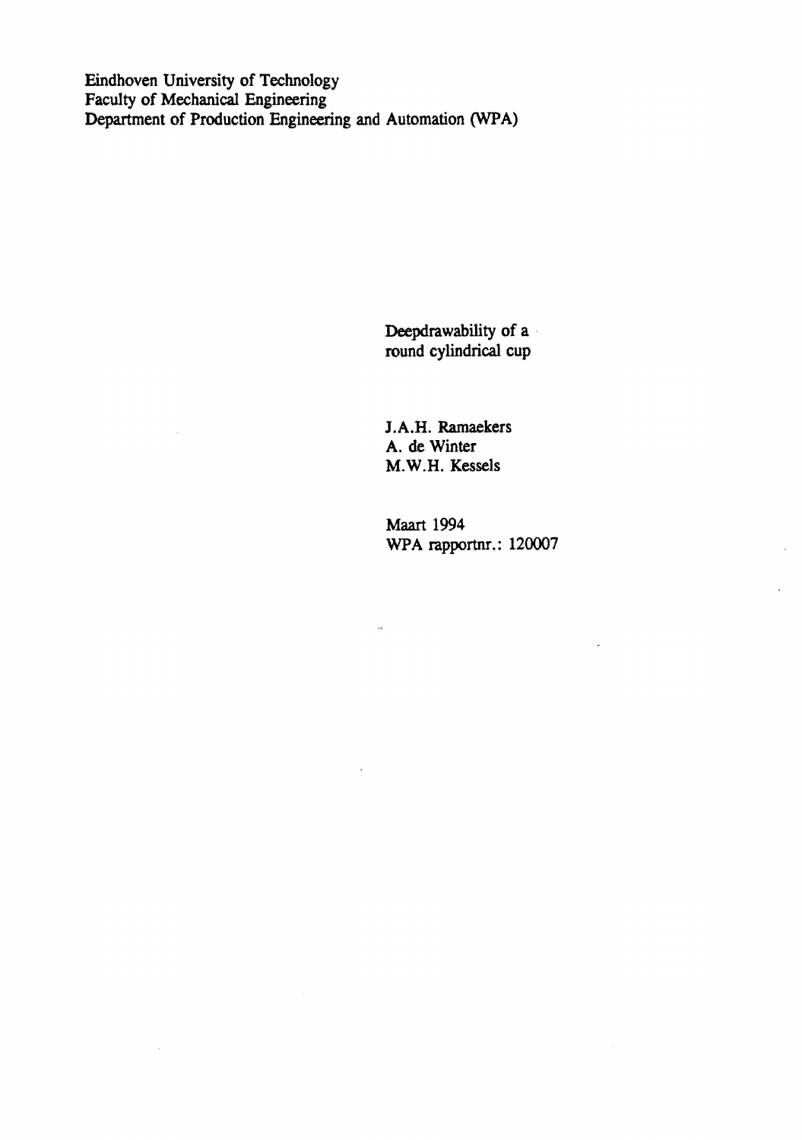Eindhoven University of Technology Faculty of Mechanical Engineering Department of Production Engineering and Automation (WPA)

> Deepdrawability of a round cylindrical cup

I.A.H. Ramaekers A. de Winter M.W.H. Kessels

 $\hat{\mathbf{B}}$  .

 $\mathcal{L}$ 

Maart 1994 WPA rapportnr.: 120007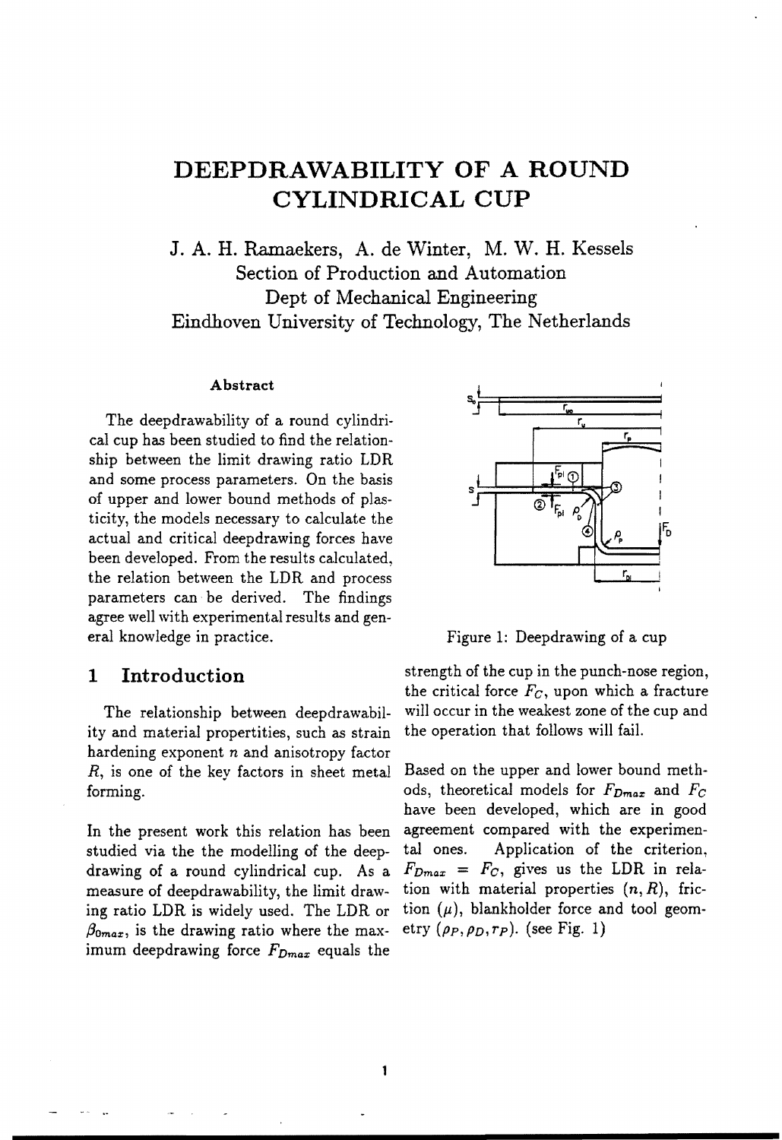# **DEEPDRAWABILITY OF A ROUND CYLINDRICAL CUP**

J. A. H. Ramaekers, A. de Winter, M. W. H. Kessels Section of Production and Automation Dept of Mechanical Engineering Eindhoven University of Technology, The Netherlands

### Abstract

The deepdrawability of a round cylindrical cup has been studied to find the relationship between the limit drawing ratio LDR and some process parameters. On the basis of upper and lower bound methods of plasticity, the models necessary to calculate the actual and critical deepdrawing forces have been developed. From the results calculated, the relation between the LDR and process parameters can· be derived. The findings agree well with experimental results and general knowledge in practice.

# 1 Introduction

The relationship between deepdrawability and material propertities, such as strain hardening exponent *n* and anisotropy factor *R,* is one of the key factors in sheet metal forming.

In the present work this relation has been studied via the the modelling of the deepdrawing of a round cylindrical cup. As a measure of deepdrawability, the limit drawing ratio LDR is widely used. The LDR or  $\beta_{0max}$ , is the drawing ratio where the maximum deepdrawing force  $F_{Dmax}$  equals the



Figure 1: Deepdrawing of a cup

strength of the cup in the punch-nose region, the critical force *Fc,* upon which a fracture will occur in the weakest zone of the cup and the operation that follows will fail.

Based on the upper and lower bound methods, theoretical models for *FDmar* and *Fe*  have been developed, which are in good agreement compared with the experimental ones. Application of the criterion,  $F_{Dmax} = F_C$ , gives us the LDR in relation with material properties  $(n, R)$ , friction  $(\mu)$ , blankholder force and tool geometry  $(\rho_P, \rho_D, r_P)$ . (see Fig. 1)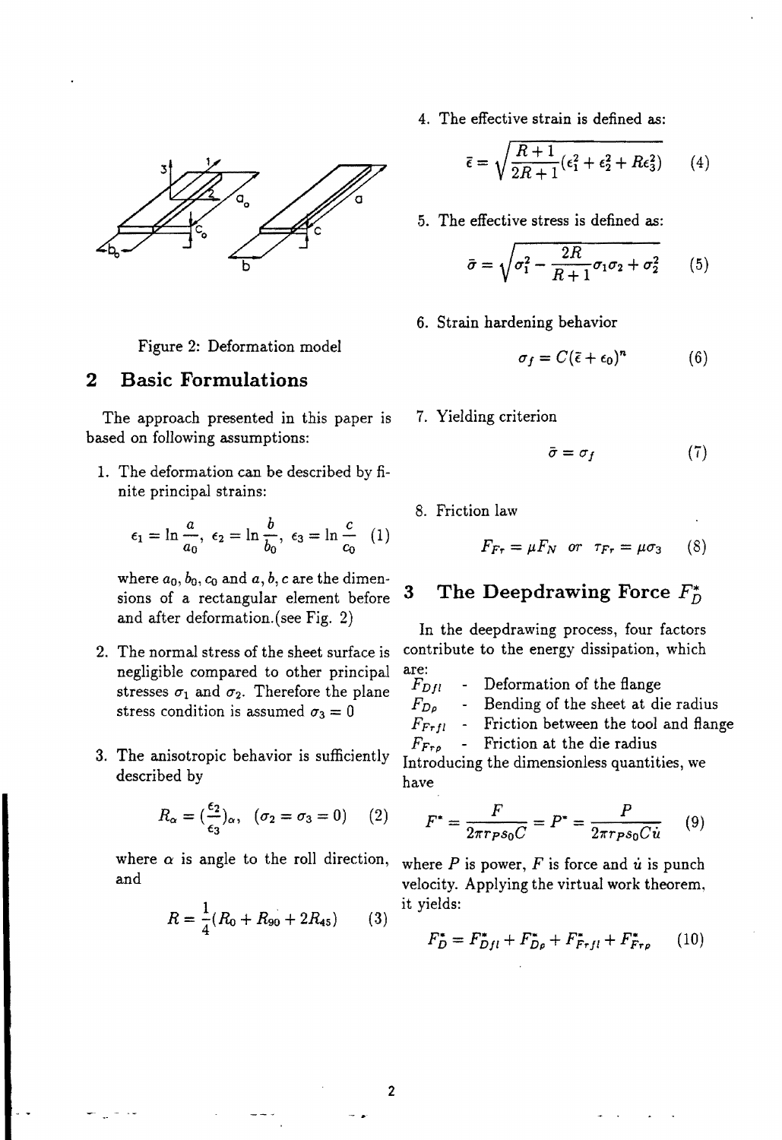

Figure 2: Deformation model

# **2 Basic Formulations**

The approach presented in this paper is 7. Yielding criterion based on following assumptions:

1. The deformation can be described by finite principal strains:

he deformation can be described by fi-  
ite principal strains:  

$$
\epsilon_1 = \ln \frac{a}{a_0}, \epsilon_2 = \ln \frac{b}{b_0}, \epsilon_3 = \ln \frac{c}{c_0}
$$
 (1)

where  $a_0, b_0, c_0$  and  $a, b, c$  are the dimen-<br>sions of a rectangular element before 3 The Deepdrawing Force  $F_D^*$ sions of a rectangular element before and after deformation.(see Fig. 2) In the deepdrawing process, four factors

- negligible compared to other principal stresses  $\sigma_1$  and  $\sigma_2$ . Therefore the plane stress condition is assumed  $\sigma_3 = 0$
- 3. The anisotropic behavior is sufficiently described by

$$
R_{\alpha} = \left(\frac{\epsilon_2}{\epsilon_3}\right)_{\alpha}, \quad (\sigma_2 = \sigma_3 = 0) \qquad (2)
$$

where  $\alpha$  is angle to the roll direction, where  $P$  and velocity.<br>1 it yields:

$$
R = \frac{1}{4}(R_0 + R_{90} + 2R_{45})
$$
 (3)

2

4. The effective strain is defined as:

$$
\bar{\epsilon} = \sqrt{\frac{R+1}{2R+1}(\epsilon_1^2 + \epsilon_2^2 + R\epsilon_3^2)}
$$
 (4)

5. The effective stress is defined as:

$$
\bar{\sigma} = \sqrt{\sigma_1^2 - \frac{2R}{R+1}\sigma_1\sigma_2 + \sigma_2^2} \qquad (5)
$$

6. Strain hardening behavior

$$
\sigma_f = C(\bar{\epsilon} + \epsilon_0)^n \tag{6}
$$

$$
\bar{\sigma} = \sigma_f \tag{7}
$$

8. Friction law

$$
F_{F\tau} = \mu F_N \quad \text{or} \quad \tau_{F\tau} = \mu \sigma_3 \qquad (8)
$$

2. The normal stress of the sheet surface is contribute to the energy dissipation, which

- are:<br> $F_{Dfl}$ Deformation of the flange
	- $F_{D\rho}$  Bending of the sheet at die radius

$$
F_{Frfl} \quad - \quad \text{Friction between the tool and flange}
$$

 $F_{Fro}$  - Friction at the die radius Introducing the dimensionless quantities, we have

$$
F^* = \frac{F}{2\pi r \rho s_0 C} = P^* = \frac{P}{2\pi r \rho s_0 C \dot{u}} \qquad (9)
$$

where  $P$  is power,  $F$  is force and  $\dot{u}$  is punch and velocity. Applying the virtual work theorem,

$$
F_D^* = F_{Dfl}^* + F_{D\rho}^* + F_{Frfl}^* + F_{Fr\rho}^* \qquad (10)
$$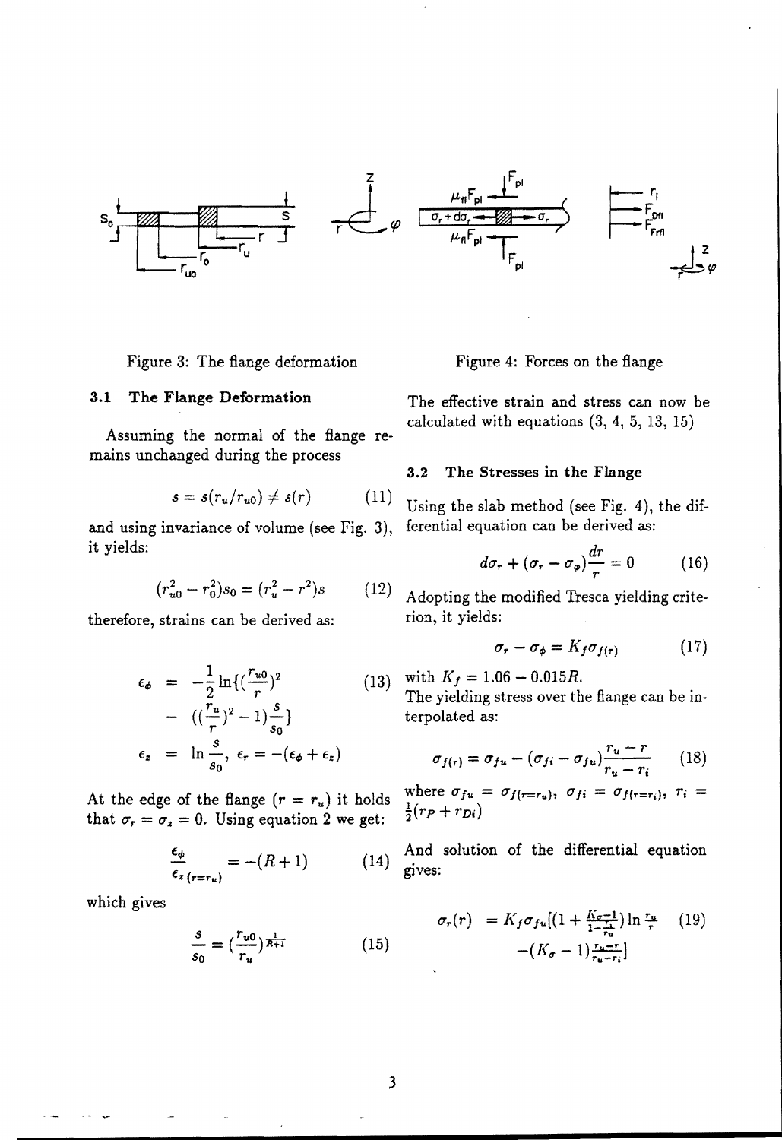

Figure 3: The flange deformation Figure 4: Forces on the flange

mains unchanged during the process

$$
s = s(r_u/r_{u0}) \neq s(r) \tag{11}
$$

and using invariance of volume (see Fig. 3), it yields:

$$
(r_{u0}^2 - r_0^2)s_0 = (r_u^2 - r^2)s \qquad (12)
$$

therefore, strains can be derived as:

$$
\epsilon_{\phi} = -\frac{1}{2} \ln \{ (\frac{r_{u0}}{r})^2
$$
\n
$$
- ((\frac{r_u}{r})^2 - 1) \frac{s}{s_0} \}
$$
\n
$$
\epsilon_z = \ln \frac{s}{s_0}, \epsilon_r = -(\epsilon_{\phi} + \epsilon_z)
$$
\n(13)

At the edge of the flange  $(r = r_u)$  it holds that  $\sigma_r = \sigma_z = 0$ . Using equation 2 we get:

$$
\frac{\epsilon_{\phi}}{\epsilon_{z}}_{(r=r_{u})} = -(R+1) \tag{14}
$$

which gives

$$
\frac{s}{s_0} = \left(\frac{r_{u0}}{r_u}\right)^{\frac{1}{R+1}}\tag{15}
$$

3.1 The Flange Deformation The effective strain and stress can now be calculated with equations (3, 4, 5, 13, 15) Assuming the normal of the flange re-

### 3.2 The Stresses in the Flange

Using the slab method (see Fig. 4), the differential equation can be derived as:

$$
d\sigma_r + (\sigma_r - \sigma_\phi)\frac{dr}{r} = 0 \tag{16}
$$

 $(1)$  Adopting the modified Tresca yielding criterion, it yields:

$$
\sigma_r - \sigma_\phi = K_f \sigma_{f(r)} \tag{17}
$$

with  $K_f = 1.06 - 0.015R$ .

The yielding stress over the flange can be interpolated as:

$$
\sigma_{f(r)} = \sigma_{fu} - (\sigma_{fi} - \sigma_{fu}) \frac{r_u - r}{r_u - r_i} \qquad (18)
$$

where  $\sigma_{fu} = \sigma_{f(r=r_u)}, \sigma_{fi} = \sigma_{f(r=r_i)}, \tau_i =$  $\frac{1}{2}(r_P + r_{Di})$ 

And solution of the differential equation gives:

$$
\sigma_r(r) = K_f \sigma_{fu} \left[ \left( 1 + \frac{K_{\sigma} - 1}{1 - \frac{r}{r_w}} \right) \ln \frac{r_w}{r} \right] \tag{19}
$$

$$
- \left( K_{\sigma} - 1 \right) \frac{r_w - r}{r_w - r_i}
$$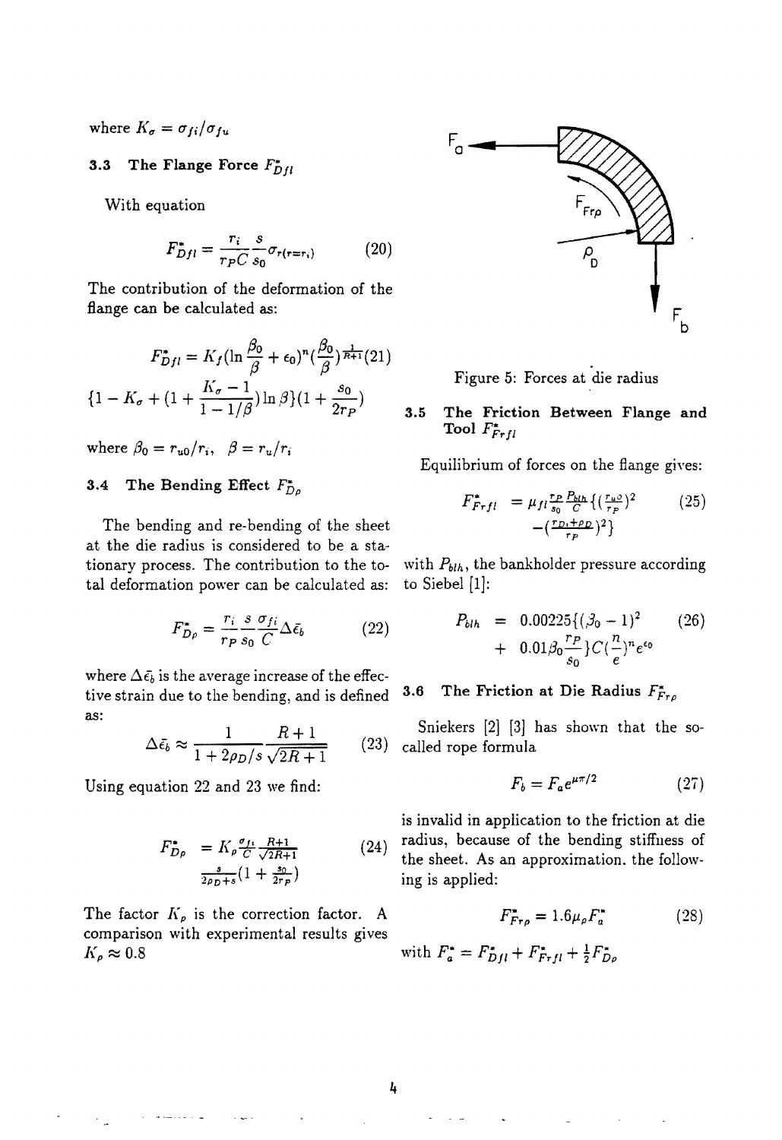where  $K_a = \sigma_{ii}/\sigma_{fu}$ 

## 3.3 The Flange Force  $F_{DH}^*$

With equation

$$
F_{Dfl}^* = \frac{r_i}{r_P C} \frac{s}{s_0} \sigma_{r(r=r_i)}
$$
 (20)

The contribution of the deformation of the flange can be calculated as:

$$
F_{Dfl}^* = K_f \left(\ln \frac{\beta_0}{\beta} + \epsilon_0\right)^n \left(\frac{\beta_0}{\beta}\right)^{\frac{1}{R+1}} (21)
$$

$$
\left\{1 - K_\sigma + \left(1 + \frac{K_\sigma - 1}{1 - 1/\beta}\right) \ln \beta\right\} \left(1 + \frac{s_0}{2r_P}\right)
$$

where  $\beta_0 = r_{u0}/r_i$ ,  $\beta = r_u/r_i$ 

# 3.4 The Bending Effect F*Dp*

The bending and re-bending of the sheet at the die radius is considered to be a stationary process. The contribution to the to- with  $P_{blh}$ , the bankholder pressure according tal deformation power can be calculated as: to Siebel [1]:

$$
F_{D\rho}^* = \frac{r_i}{r_P} \frac{s}{s_0} \frac{\sigma_{fi}}{C} \Delta \bar{\epsilon}_b \tag{22}
$$

where  $\Delta \bar{\epsilon_b}$  is the average increase of the effective strain due to the bending, and is defined  $3.6$  The Friction at Die Radius  $F_{Fr\rho}^*$ as:

$$
\Delta \bar{\epsilon_b} \approx \frac{1}{1 + 2\rho_D/s} \frac{R+1}{\sqrt{2R+1}} \qquad (23)
$$

Using equation 22 and 23 we find:

$$
F_{D\rho}^* = K_{\rho} \frac{\sigma_{f1}}{C} \frac{R+1}{\sqrt{2R+1}}
$$
 (24)  

$$
\frac{s}{2\rho_D + s} (1 + \frac{s_0}{2r_P})
$$

The factor  $K_{\rho}$  is the correction factor. A comparison with experimental results gives  $K_{\rho} \approx 0.8$  with  $F_{a}^{*} = F_{DH}^{*} + F_{FH}^{*} + \frac{1}{2}F_{D\rho}^{*}$ 



Figure 5: Forces at die radius

#### 3.5 The Friction Between Flange and Tool  $F_{F r f l}^*$

Equilibrium of forces on the flange gives:

$$
F_{Frfl}^{*} = \mu_{fl} \frac{r_{P} P_{blh}}{s_0} \left\{ \left( \frac{r_{u0}}{r_{P}} \right)^2 - \left( \frac{r_{D} + \rho_D}{r_{P}} \right)^2 \right\}
$$
 (25)

$$
P_{b1h} = \frac{r_i}{r_P s_0} \frac{s \sigma_{fi}}{C} \Delta \bar{\epsilon}_b
$$
\n
$$
P_{b1h} = 0.00225 \{ (\beta_0 - 1)^2 \sigma_{fo} + 0.01 \beta_0 \frac{r_P}{s_0} \} C (\frac{n}{e})^n e^{\epsilon_0}
$$
\n
$$
(26)
$$

Sniekers  $[2]$   $[3]$  has shown that the so- $\int$  called rope formula

$$
F_b = F_a e^{\mu \pi/2} \tag{27}
$$

is invalid in application to the friction at die radius, because of the bending stiffness of the sheet. As an approximation. the following is applied:

$$
F_{F\,}^{*} = 1.6\mu_{\rho} F_{a}^{*} \tag{28}
$$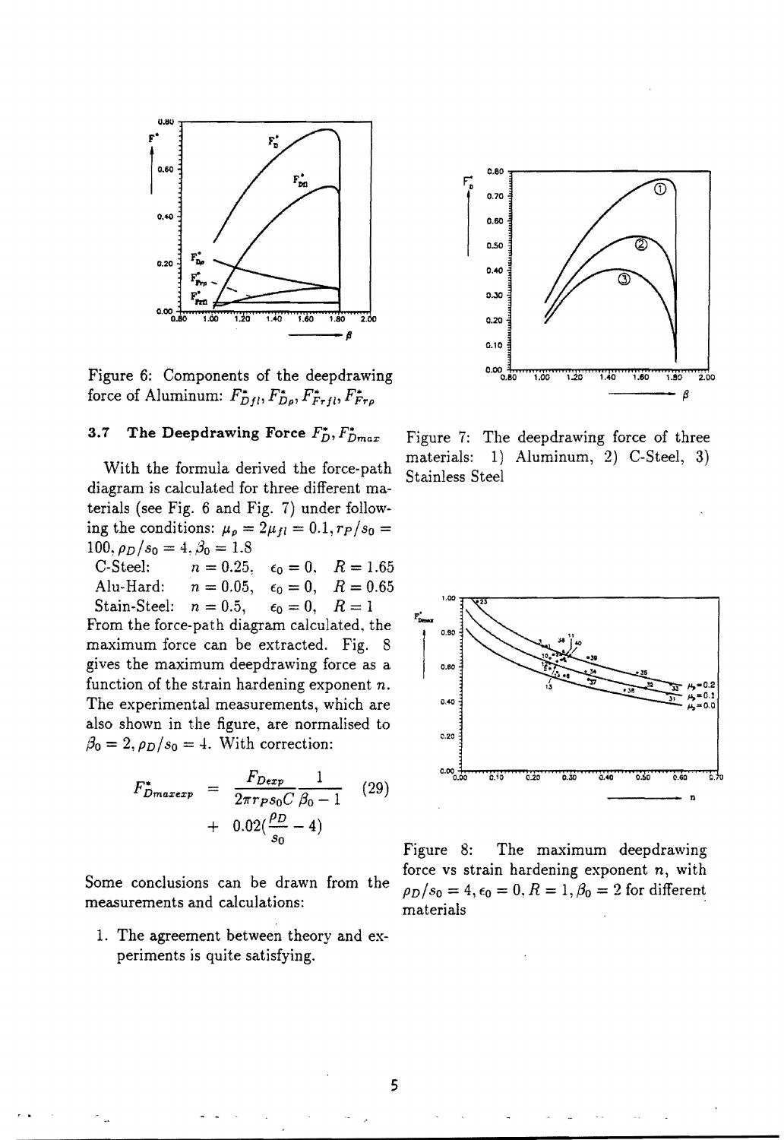

Figure 6: Components of the deepdrawing force of Aluminum:  $F_{Dfl}^*, F_{D\rho}^*, F_{Frl}^*, F_{Fr\rho}^*$ 

## 3.7 The Deepdrawing Force  $F_D^*$ ,  $F_{Dmax}^*$

With the formula derived the force-path diagram is calculated for three different materials (see Fig. 6 and Fig. 7) under following the conditions:  $\mu_{\rho} = 2\mu_{fl} = 0.1, r_P/s_0 =$ 100,  $\rho_D/s_0 = 4$ ,  $\beta_0 = 1.8$ <br>C-Steel:  $n = 0.25$ .

C-Steel:  $n = 0.25, \quad \epsilon_0 = 0, \quad R = 1.65$ <br>Alu-Hard:  $n = 0.05, \quad \epsilon_0 = 0, \quad R = 0.65$  $\epsilon_0 = 0, \quad R = 0.65,$ <br> $\epsilon_0 = 0, \quad R = 1$ Stain-Steel:  $n = 0.5$ ,

From the force-path diagram calculated, the maximum force can be extracted. Fig. 8 gives the maximum deepdrawing force as a function of the strain hardening exponent *n.*  The experimental measurements, which are also shown in the figure, are normalised to  $\beta_0 = 2, \rho_D/s_0 = 4$ . With correction:

$$
F_{Dmaxexp}^{*} = \frac{F_{Dexp}}{2\pi r_{P} s_{0} C} \frac{1}{\beta_{0} - 1}
$$
 (29)  
+ 0.02( $\frac{\rho_{D}}{s_{0}}$  - 4)

Some conclusions can be drawn from the measurements and calculations:

1. The agreement between theory and experiments is quite satisfying.



Figure 7: The deepdrawing force of three materials: 1) Aluminum, 2) C-Steel, 3) Stainless Steel



Figure 8: The maximum deepdrawing force vs strain hardening exponent *n,* with  $\rho_D/s_0 = 4, \epsilon_0 = 0, R = 1, \beta_0 = 2$  for different materials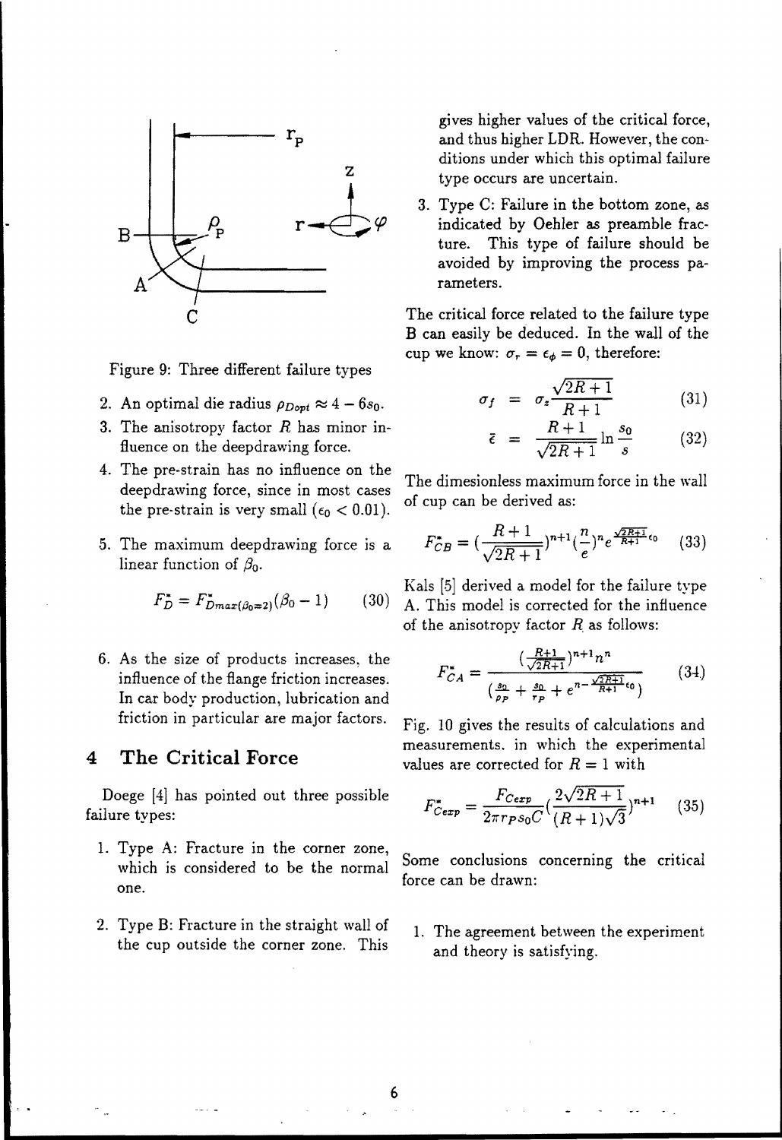

Figure 9: Three different failure types

- 2. An optimal die radius  $\rho_{Dopt} \approx 4 6s_0$ .
- 3. The anisotropy factor  $R$  has minor influence on the deep drawing force.
- 4. The pre-strain has no influence on the deep drawing force, since in most cases the pre-strain is very small ( $\epsilon_0 < 0.01$ ).
- 5. The maximum deepdrawing force is a linear function of  $\beta_0$ .

$$
F_D^* = F_{Dmax(\beta_0=2)}^*(\beta_0 - 1) \tag{30}
$$

6. As the size of products increases, the influence of the flange friction increases. In car body production, lubrication and friction in particular are major factors.

# **4 The Critical Force**

Doege [4] has pointed out three possible failure types:

- 1. Type A: Fracture in the corner zone, force can be drawn:
- 2. Type B: Fracture in the straight wall of the cup outside the corner zone. This

gives higher values of the critical force, and thus higher LDR. However, the conditions under which this optimal failure type occurs are uncertain.

3. Type C: Failure in the bottom zone, as indicated by Oehler as preamble fracture. This type of failure should be avoided by improving the process parameters.

The critical force related to the failure type B can easily be deduced. In the wall of the cup we know:  $\sigma_r = \epsilon_{\phi} = 0$ , therefore:

$$
\sigma_f = \sigma_z \frac{\sqrt{2R+1}}{R+1} \tag{31}
$$

$$
\bar{\epsilon} = \frac{R+1}{\sqrt{2R+1}} \ln \frac{s_0}{s} \qquad (32)
$$

The dimesionless maximum force in the wall of cup can be derived as:

$$
F_{CB}^* = \left(\frac{R+1}{\sqrt{2R+1}}\right)^{n+1} \left(\frac{n}{e}\right)^n e^{\frac{\sqrt{2R+1}}{R+1}\epsilon_0} \tag{33}
$$

Kals [5] derived a model for the failure type A. This model is corrected for the influence of the anisotropy factor  $R$  as follows:

$$
F_{CA}^{*} = \frac{(\frac{R+1}{\sqrt{2R+1}})^{n+1} n^{n}}{(\frac{s_0}{\rho_P} + \frac{s_0}{r_P} + e^{n - \frac{\sqrt{2R+1}}{R+1} \epsilon_0})}
$$
(34)

Fig. 10 gives the results of calculations and measurements. in which the experimental values are corrected for  $R = 1$  with

$$
F_{Cexp}^{*} = \frac{F_{Cexp}}{2\pi r_{P} s_{0} C} (\frac{2\sqrt{2R+1}}{(R+1)\sqrt{3}})^{n+1}
$$
 (35)

which is considered to be the normal Some conclusions concerning the critical

1. The agreement between the experiment and theory is satisfying.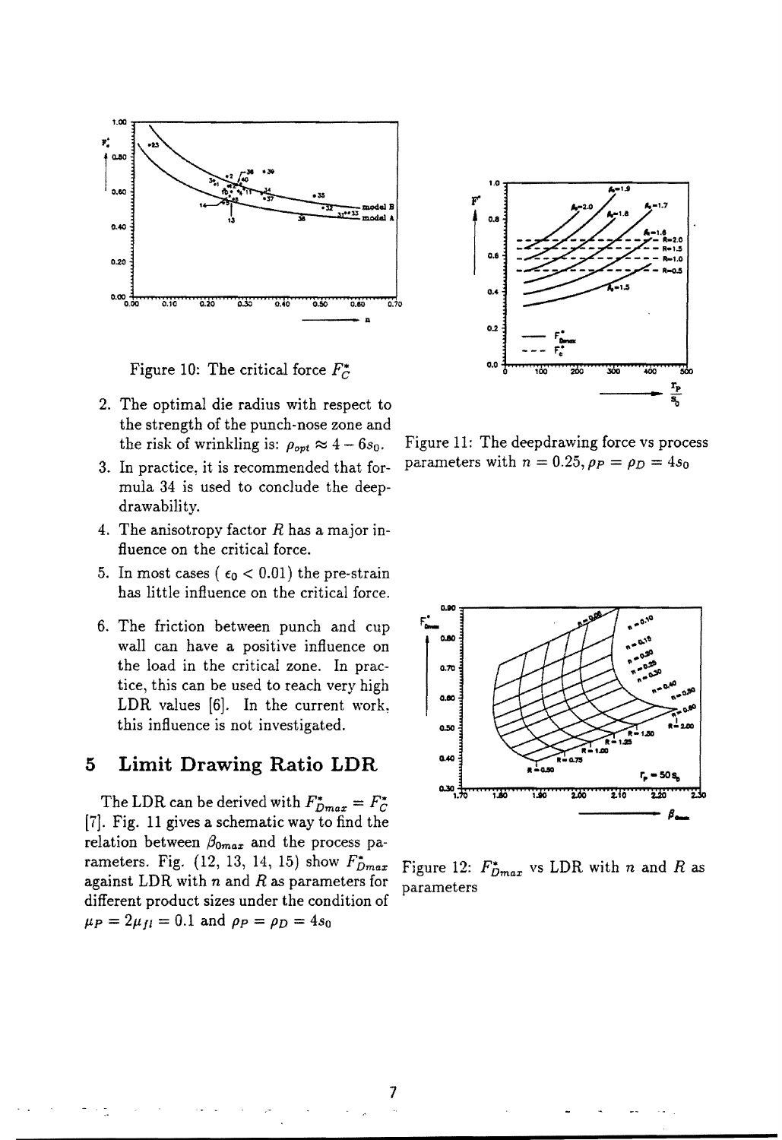

Figure 10: The critical force  $F_C^*$ 

- 2. The optimal die radius with respect to the strength of the punch-nose zone and the risk of wrinkling is:  $\rho_{opt} \approx 4 - 6s_0$ .
- 3. In practice, it is recommended that formula 34 is used to conclude the deepdrawability.
- 4. The anisotropy factor *R* has a major influence on the critical force.
- 5. In most cases ( $\epsilon_0$  < 0.01) the pre-strain has little influence on the critical force.
- 6. The friction between punch and cup wall can have a positive influence on the load in the critical zone. In practice, this can be used to reach very high LDR values  $[6]$ . In the current work, this influence is not investigated.

# **5 Limit Drawing Ratio LDR**

The LDR can be derived with  $F_{Dmax}^* = F_C^*$ [7J. Fig. 11 gives a schematic way to find the relation between  $\beta_{0max}$  and the process parameters. Fig.  $(12, 13, 14, 15)$  show  $F_{Dmax}^*$ against LDR with nand *R* as parameters for different product sizes under the condition of  $\mu_P = 2\mu_{fl} = 0.1$  and  $\rho_P = \rho_D = 4s_0$ 



Figure 11: The deepdrawing force vs process parameters with  $n = 0.25$ ,  $\rho_P = \rho_D = 4s_0$ 



Figure 12:  $F_{Dmax}^*$  vs LDR with *n* and *R* as parameters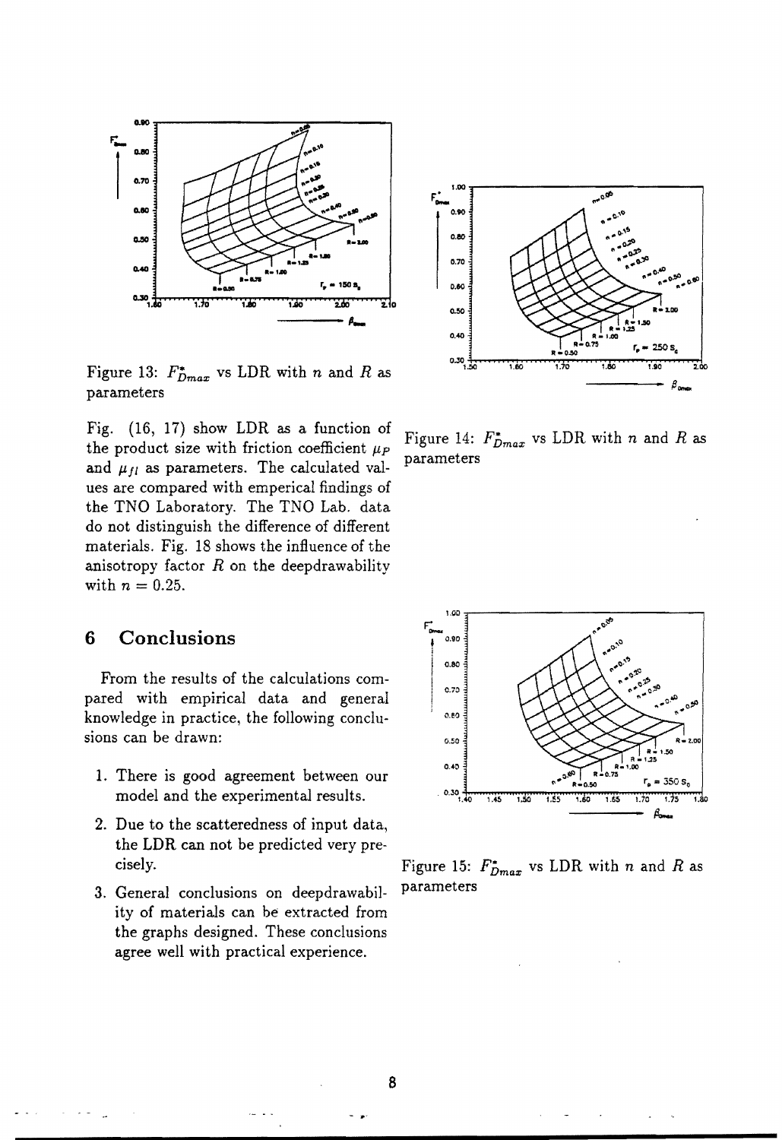

Figure 13:  $F_{Dmax}^*$  vs LDR with *n* and *R* as parameters

Fig. (16, 17) show LDR as a function of the product size with friction coefficient  $\mu_P$ and  $\mu_{fl}$  as parameters. The calculated values are compared with emperical findings of the TNO Laboratory. The TNO Lab. data do not distinguish the difference of different materials. Fig. 18 shows the influence of the anisotropy factor *R* on the deepdrawability with  $n = 0.25$ .

# **6 Conclusions**

From the results of the calculations compared with empirical data and general knowledge in practice, the following conclusions can be drawn:

- 1. There is good agreement between our model and the experimental results.
- 2. Due to the scatteredness of input data, the LDR can not be predicted very pre-
- 3. General conclusions on deepdrawabil- parameters ity of materials can be extracted from the graphs designed. These conclusions agree well with practical experience.



Figure 14:  $F_{Dmax}^*$  vs LDR with *n* and *R* as parameters



cisely. Figure 15:  $F_{Dmax}^*$  vs LDR with n and R as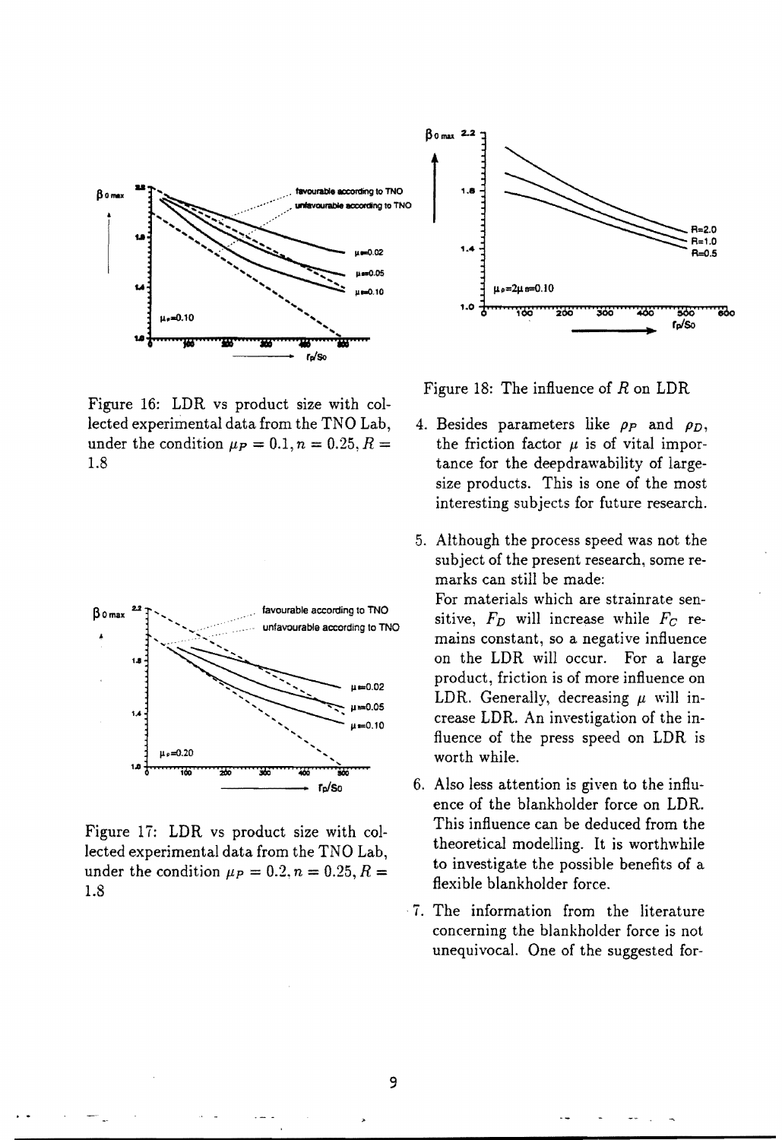

Figure 16: LDR vs product size with collected experimental data from the TNO Lab, under the condition  $\mu_P = 0.1, n = 0.25, R =$ 1.8



Figure 17: LDR vs product size with collected experimental data from the TNO Lab, under the condition  $\mu_P = 0.2, n = 0.25, R =$ 1.8



Figure 18: The influence of *R* on LDR

- 4. Besides parameters like  $\rho_P$  and  $\rho_D$ , the friction factor  $\mu$  is of vital importance for the deepdrawability of largesize products. This is one of the most interesting subjects for future research.
- 5. Although the process speed was not the subject of the present research, some remarks can still be made:

For materials which are strainrate sensitive,  $F_D$  will increase while  $F_C$  remains constant, so a negative influence on the LDR will occur. For a large product, friction is of more influence on LDR. Generally, decreasing  $\mu$  will increase LDR. An investigation of the influence of the press speed on LDR is worth while.

- 6. Also less attention is given to the influence of the blankholder force on LDR. This influence can be deduced from the theoretical modelling. It is worthwhile to investigate the possible benefits of a flexible blankholder force.
- ·7. The information from the literature concerning the blankholder force is not unequivocal. One of the suggested for-